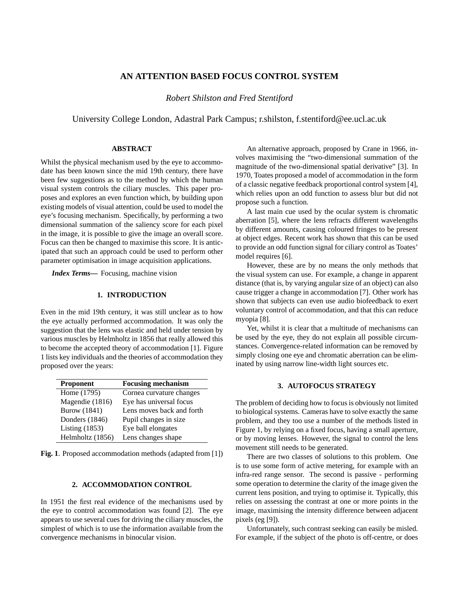# **AN ATTENTION BASED FOCUS CONTROL SYSTEM**

*Robert Shilston and Fred Stentiford*

University College London, Adastral Park Campus; r.shilston, f.stentiford@ee.ucl.ac.uk

# **ABSTRACT**

Whilst the physical mechanism used by the eye to accommodate has been known since the mid 19th century, there have been few suggestions as to the method by which the human visual system controls the ciliary muscles. This paper proposes and explores an even function which, by building upon existing models of visual attention, could be used to model the eye's focusing mechanism. Specifically, by performing a two dimensional summation of the saliency score for each pixel in the image, it is possible to give the image an overall score. Focus can then be changed to maximise this score. It is anticipated that such an approach could be used to perform other parameter optimisation in image acquisition applications.

*Index Terms***—** Focusing, machine vision

## **1. INTRODUCTION**

Even in the mid 19th century, it was still unclear as to how the eye actually performed accommodation. It was only the suggestion that the lens was elastic and held under tension by various muscles by Helmholtz in 1856 that really allowed this to become the accepted theory of accommodation [1]. Figure 1 lists key individuals and the theories of accommodation they proposed over the years:

| <b>Proponent</b>    | <b>Focusing mechanism</b> |
|---------------------|---------------------------|
| Home (1795)         | Cornea curvature changes  |
| Magendie (1816)     | Eye has universal focus   |
| <b>Burow</b> (1841) | Lens moves back and forth |
| Donders (1846)      | Pupil changes in size     |
| Listing $(1853)$    | Eye ball elongates        |
| Helmholtz (1856)    | Lens changes shape        |

**Fig. 1**. Proposed accommodation methods (adapted from [1])

#### **2. ACCOMMODATION CONTROL**

In 1951 the first real evidence of the mechanisms used by the eye to control accommodation was found [2]. The eye appears to use several cues for driving the ciliary muscles, the simplest of which is to use the information available from the convergence mechanisms in binocular vision.

An alternative approach, proposed by Crane in 1966, involves maximising the "two-dimensional summation of the magnitude of the two-dimensional spatial derivative" [3]. In 1970, Toates proposed a model of accommodation in the form of a classic negative feedback proportional control system [4], which relies upon an odd function to assess blur but did not propose such a function.

A last main cue used by the ocular system is chromatic aberration [5], where the lens refracts different wavelengths by different amounts, causing coloured fringes to be present at object edges. Recent work has shown that this can be used to provide an odd function signal for ciliary control as Toates' model requires [6].

However, these are by no means the only methods that the visual system can use. For example, a change in apparent distance (that is, by varying angular size of an object) can also cause trigger a change in accommodation [7]. Other work has shown that subjects can even use audio biofeedback to exert voluntary control of accommodation, and that this can reduce myopia [8].

Yet, whilst it is clear that a multitude of mechanisms can be used by the eye, they do not explain all possible circumstances. Convergence-related information can be removed by simply closing one eye and chromatic aberration can be eliminated by using narrow line-width light sources etc.

#### **3. AUTOFOCUS STRATEGY**

The problem of deciding how to focus is obviously not limited to biological systems. Cameras have to solve exactly the same problem, and they too use a number of the methods listed in Figure 1, by relying on a fixed focus, having a small aperture, or by moving lenses. However, the signal to control the lens movement still needs to be generated.

There are two classes of solutions to this problem. One is to use some form of active metering, for example with an infra-red range sensor. The second is passive - performing some operation to determine the clarity of the image given the current lens position, and trying to optimise it. Typically, this relies on assessing the contrast at one or more points in the image, maximising the intensity difference between adjacent pixels (eg [9]).

Unfortunately, such contrast seeking can easily be misled. For example, if the subject of the photo is off-centre, or does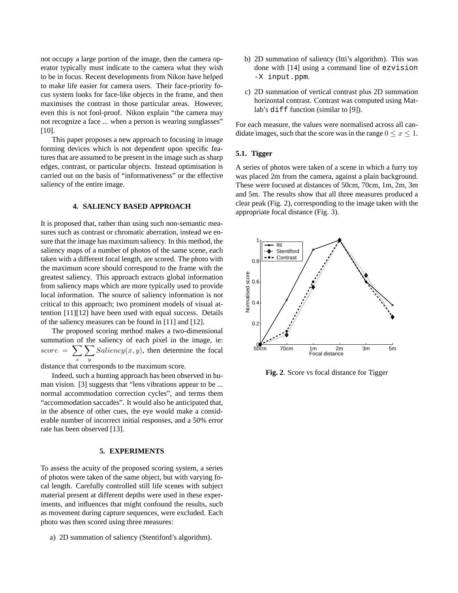not occupy a large portion of the image, then the camera operator typically must indicate to the camera what they wish to be in focus. Recent developments from Nikon have helped to make life easier for camera users. Their face-priority focus system looks for face-like objects in the frame, and then maximises the contrast in those particular areas. However, even this is not fool-proof. Nikon explain "the camera may not recognize a face ... when a person is wearing sunglasses" [10].

This paper proposes a new approach to focusing in image forming devices which is not dependent upon specific features that are assumed to be present in the image such as sharp edges, contrast, or particular objects. Instead optimisation is carried out on the basis of "informativeness" or the effective saliency of the entire image.

# **4. SALIENCY BASED APPROACH**

It is proposed that, rather than using such non-semantic measures such as contrast or chromatic aberration, instead we ensure that the image has maximum saliency. In this method, the saliency maps of a number of photos of the same scene, each taken with a different focal length, are scored. The photo with the maximum score should correspond to the frame with the greatest saliency. This approach extracts global information from saliency maps which are more typically used to provide local information. The source of saliency information is not critical to this approach; two prominent models of visual attention [11][12] have been used with equal success. Details of the saliency measures can be found in [11] and [12].

The proposed scoring method makes a two-dimensional summation of the saliency of each pixel in the image, ie:  $score = \sum$ x  $\sum$  $\overline{y}$  $Saliency(x, y)$ , then determine the focal

distance that corresponds to the maximum score.

Indeed, such a hunting approach has been observed in human vision. [3] suggests that "lens vibrations appear to be ... normal accommodation correction cycles", and terms them "accommodation saccades". It would also be anticipated that, in the absence of other cues, the eye would make a considerable number of incorrect initial responses, and a 50% error rate has been observed [13].

#### **5. EXPERIMENTS**

To assess the acuity of the proposed scoring system, a series of photos were taken of the same object, but with varying focal length. Carefully controlled still life scenes with subject material present at different depths were used in these experiments, and influences that might confound the results, such as movement during capture sequences, were excluded. Each photo was then scored using three measures:

a) 2D summation of saliency (Stentiford's algorithm).

- b) 2D summation of saliency (Itti's algorithm). This was done with [14] using a command line of ezvision -X input.ppm.
- c) 2D summation of vertical contrast plus 2D summation horizontal contrast. Contrast was computed using Matlab's diff function (similar to [9]).

For each measure, the values were normalised across all candidate images, such that the score was in the range  $0 \le x \le 1$ .

# **5.1. Tigger**

A series of photos were taken of a scene in which a furry toy was placed 2m from the camera, against a plain background. These were focused at distances of 50cm, 70cm, 1m, 2m, 3m and 5m. The results show that all three measures produced a clear peak (Fig. 2), corresponding to the image taken with the appropriate focal distance (Fig. 3).



**Fig. 2**. Score vs focal distance for Tigger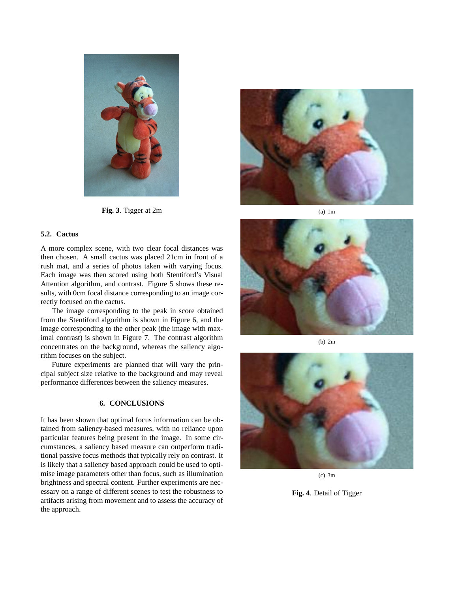

**Fig. 3**. Tigger at 2m

## **5.2. Cactus**

A more complex scene, with two clear focal distances was then chosen. A small cactus was placed 21cm in front of a rush mat, and a series of photos taken with varying focus. Each image was then scored using both Stentiford's Visual Attention algorithm, and contrast. Figure 5 shows these results, with 0cm focal distance corresponding to an image correctly focused on the cactus.

The image corresponding to the peak in score obtained from the Stentiford algorithm is shown in Figure 6, and the image corresponding to the other peak (the image with maximal contrast) is shown in Figure 7. The contrast algorithm concentrates on the background, whereas the saliency algorithm focuses on the subject.

Future experiments are planned that will vary the principal subject size relative to the background and may reveal performance differences between the saliency measures.

### **6. CONCLUSIONS**

It has been shown that optimal focus information can be obtained from saliency-based measures, with no reliance upon particular features being present in the image. In some circumstances, a saliency based measure can outperform traditional passive focus methods that typically rely on contrast. It is likely that a saliency based approach could be used to optimise image parameters other than focus, such as illumination brightness and spectral content. Further experiments are necessary on a range of different scenes to test the robustness to artifacts arising from movement and to assess the accuracy of the approach.



(a) 1m



(b) 2m



(c) 3m

**Fig. 4**. Detail of Tigger